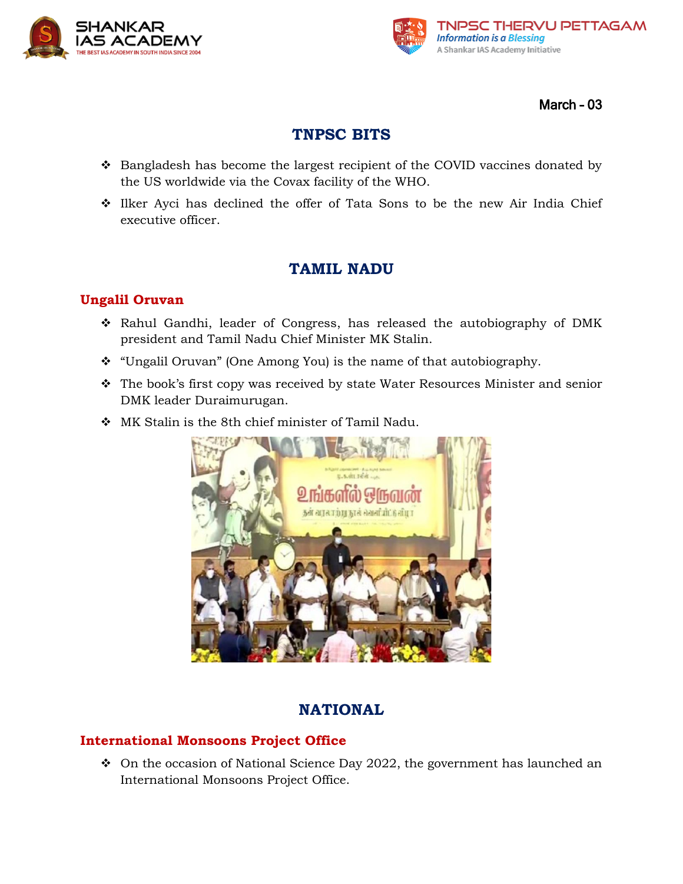



March – 03

# **TNPSC BITS**

- ❖ Bangladesh has become the largest recipient of the COVID vaccines donated by the US worldwide via the Covax facility of the WHO.
- ❖ Ilker Ayci has declined the offer of Tata Sons to be the new Air India Chief executive officer.

## **TAMIL NADU**

### **Ungalil Oruvan**

- ❖ Rahul Gandhi, leader of Congress, has released the autobiography of DMK president and Tamil Nadu Chief Minister MK Stalin.
- ❖ "Ungalil Oruvan" (One Among You) is the name of that autobiography.
- ❖ The book's first copy was received by state Water Resources Minister and senior DMK leader Duraimurugan.
- ❖ MK Stalin is the 8th chief minister of Tamil Nadu.



## **NATIONAL**

### **International Monsoons Project Office**

❖ On the occasion of National Science Day 2022, the government has launched an International Monsoons Project Office.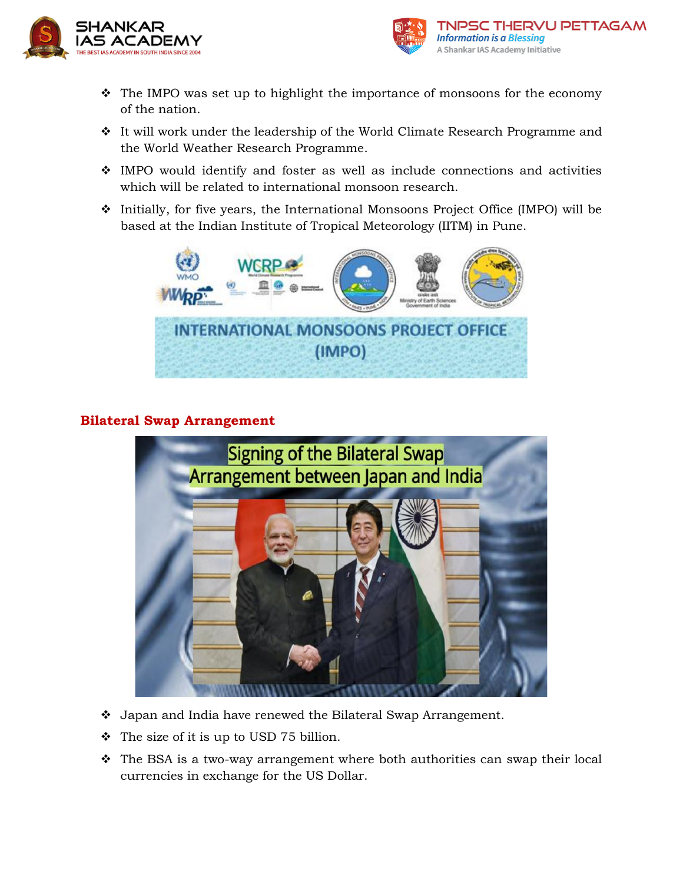



- ❖ The IMPO was set up to highlight the importance of monsoons for the economy of the nation.
- ❖ It will work under the leadership of the World Climate Research Programme and the World Weather Research Programme.
- ❖ IMPO would identify and foster as well as include connections and activities which will be related to international monsoon research.
- ❖ Initially, for five years, the International Monsoons Project Office (IMPO) will be based at the Indian Institute of Tropical Meteorology (IITM) in Pune.



### **Bilateral Swap Arrangement**



- ❖ Japan and India have renewed the Bilateral Swap Arrangement.
- ❖ The size of it is up to USD 75 billion.
- ❖ The BSA is a two-way arrangement where both authorities can swap their local currencies in exchange for the US Dollar.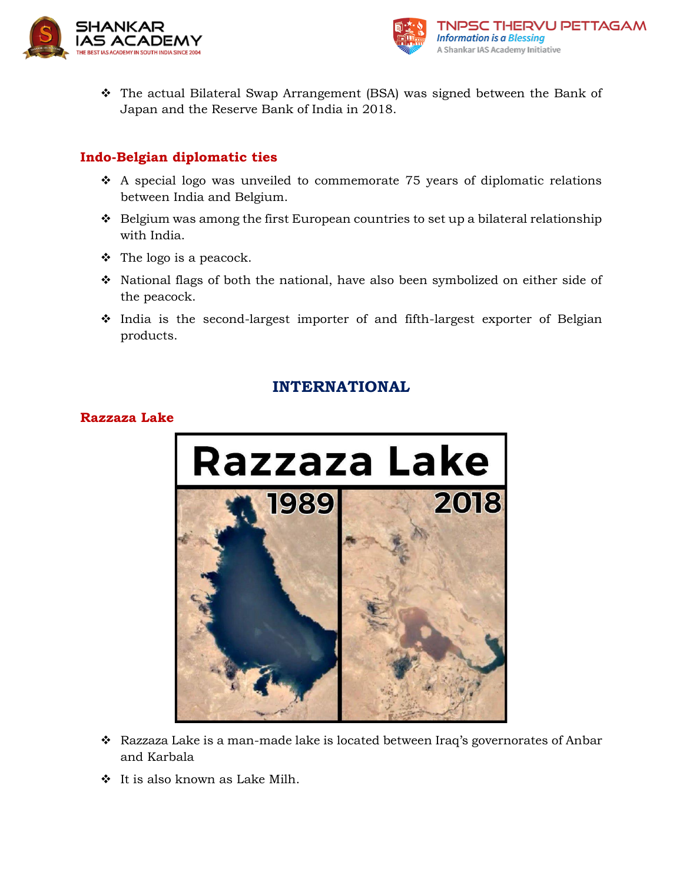



❖ The actual Bilateral Swap Arrangement (BSA) was signed between the Bank of Japan and the Reserve Bank of India in 2018.

### **Indo-Belgian diplomatic ties**

- ❖ A special logo was unveiled to commemorate 75 years of diplomatic relations between India and Belgium.
- ❖ Belgium was among the first European countries to set up a bilateral relationship with India.
- $\div$  The logo is a peacock.
- ❖ National flags of both the national, have also been symbolized on either side of the peacock.
- ❖ India is the second-largest importer of and fifth-largest exporter of Belgian products.

## **INTERNATIONAL**

#### **Razzaza Lake**



- ❖ Razzaza Lake is a man-made lake is located between Iraq's governorates of Anbar and Karbala
- ❖ It is also known as Lake Milh.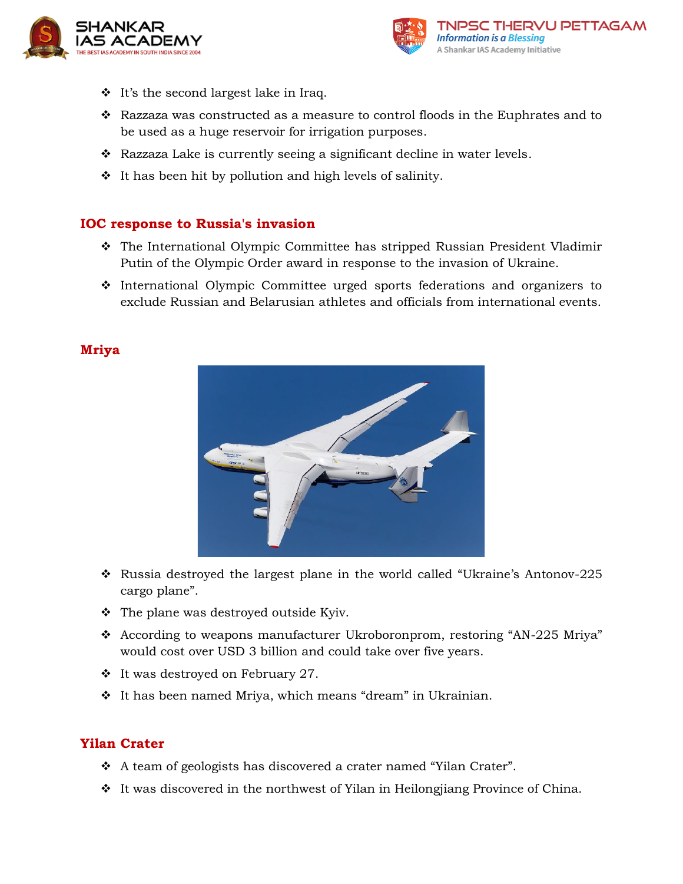



- ❖ It's the second largest lake in Iraq.
- ❖ Razzaza was constructed as a measure to control floods in the Euphrates and to be used as a huge reservoir for irrigation purposes.
- $\bullet$  Razzaza Lake is currently seeing a significant decline in water levels.
- ❖ It has been hit by pollution and high levels of salinity.

#### **IOC response to Russia's invasion**

- ❖ The International Olympic Committee has stripped Russian President Vladimir Putin of the Olympic Order award in response to the invasion of Ukraine.
- ❖ International Olympic Committee urged sports federations and organizers to exclude Russian and Belarusian athletes and officials from international events.



#### **Mriya**

- ❖ Russia destroyed the largest plane in the world called "Ukraine's Antonov-225 cargo plane".
- ❖ The plane was destroyed outside Kyiv.
- ❖ According to weapons manufacturer Ukroboronprom, restoring "AN-225 Mriya" would cost over USD 3 billion and could take over five years.
- ❖ It was destroyed on February 27.
- ❖ It has been named Mriya, which means "dream" in Ukrainian.

#### **Yilan Crater**

- ❖ A team of geologists has discovered a crater named "Yilan Crater".
- ❖ It was discovered in the northwest of Yilan in Heilongjiang Province of China.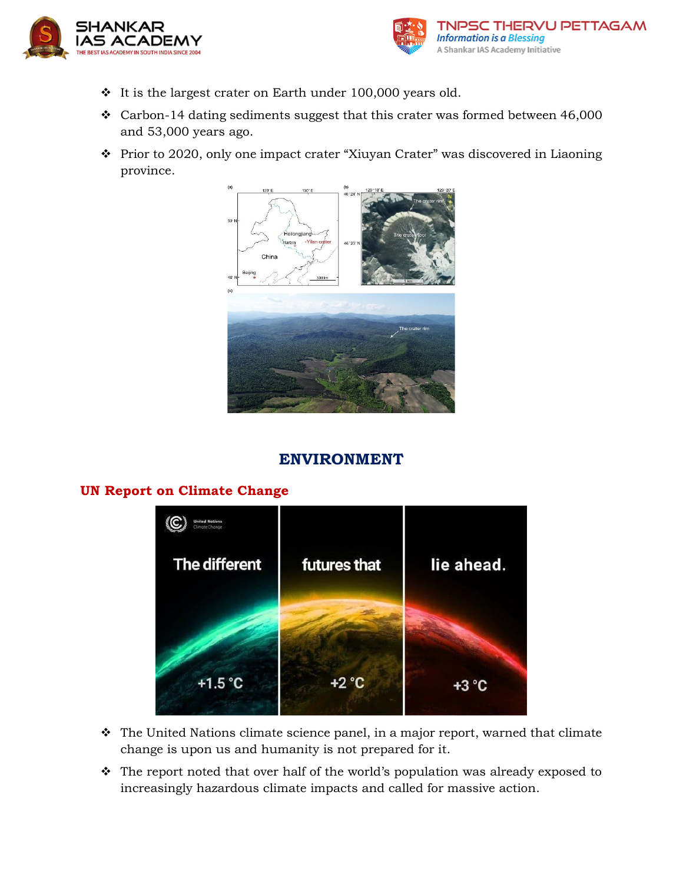



- ❖ It is the largest crater on Earth under 100,000 years old.
- ❖ Carbon-14 dating sediments suggest that this crater was formed between 46,000 and 53,000 years ago.
- ❖ Prior to 2020, only one impact crater "Xiuyan Crater" was discovered in Liaoning province.



## **ENVIRONMENT**



#### **UN Report on Climate Change**

- ❖ The United Nations climate science panel, in a major report, warned that climate change is upon us and humanity is not prepared for it.
- ❖ The report noted that over half of the world's population was already exposed to increasingly hazardous climate impacts and called for massive action.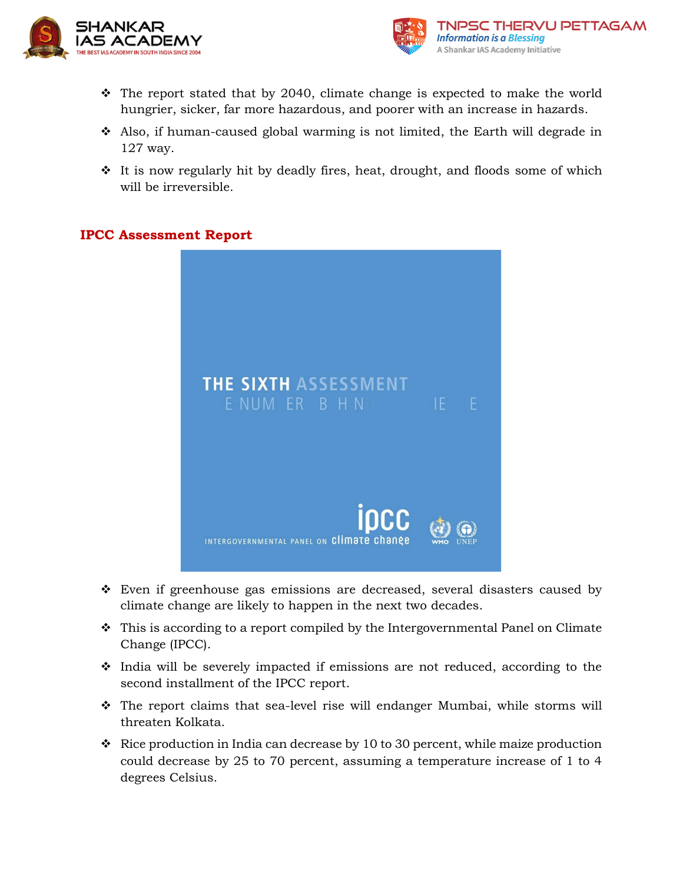



- ❖ The report stated that by 2040, climate change is expected to make the world hungrier, sicker, far more hazardous, and poorer with an increase in hazards.
- ❖ Also, if human-caused global warming is not limited, the Earth will degrade in 127 way.
- ❖ It is now regularly hit by deadly fires, heat, drought, and floods some of which will be irreversible.

#### **IPCC Assessment Report**



- ❖ Even if greenhouse gas emissions are decreased, several disasters caused by climate change are likely to happen in the next two decades.
- ❖ This is according to a report compiled by the Intergovernmental Panel on Climate Change (IPCC).
- ❖ India will be severely impacted if emissions are not reduced, according to the second installment of the IPCC report.
- ❖ The report claims that sea-level rise will endanger Mumbai, while storms will threaten Kolkata.
- ❖ Rice production in India can decrease by 10 to 30 percent, while maize production could decrease by 25 to 70 percent, assuming a temperature increase of 1 to 4 degrees Celsius.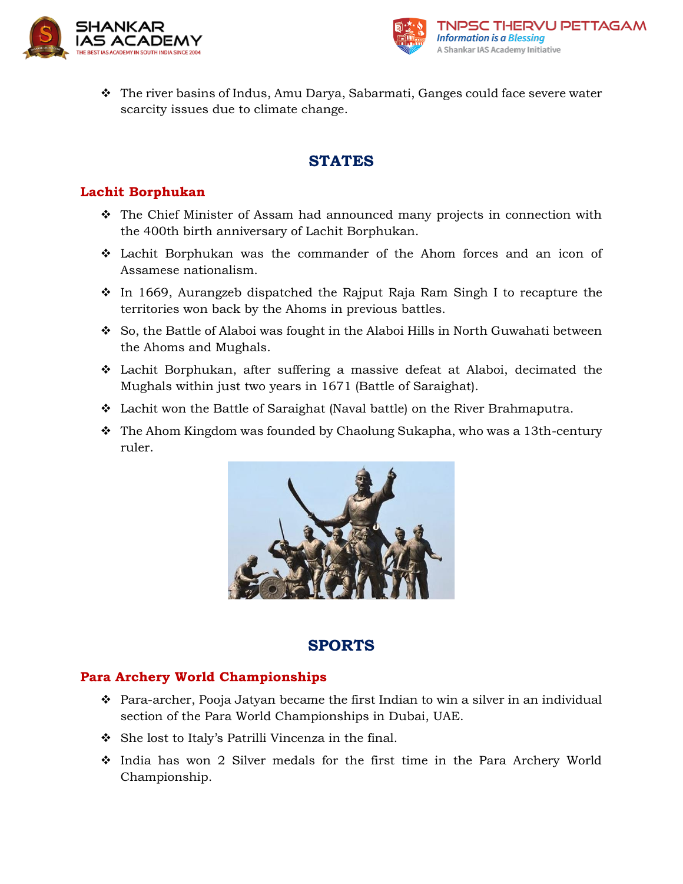



❖ The river basins of Indus, Amu Darya, Sabarmati, Ganges could face severe water scarcity issues due to climate change.

## **STATES**

### **Lachit Borphukan**

- ❖ The Chief Minister of Assam had announced many projects in connection with the 400th birth anniversary of Lachit Borphukan.
- ❖ Lachit Borphukan was the commander of the Ahom forces and an icon of Assamese nationalism.
- ❖ In 1669, Aurangzeb dispatched the Rajput Raja Ram Singh I to recapture the territories won back by the Ahoms in previous battles.
- ❖ So, the Battle of Alaboi was fought in the Alaboi Hills in North Guwahati between the Ahoms and Mughals.
- ❖ Lachit Borphukan, after suffering a massive defeat at Alaboi, decimated the Mughals within just two years in 1671 (Battle of Saraighat).
- ❖ Lachit won the Battle of Saraighat (Naval battle) on the River Brahmaputra.
- ❖ The Ahom Kingdom was founded by Chaolung Sukapha, who was a 13th-century ruler.



## **SPORTS**

### **Para Archery World Championships**

- ❖ Para-archer, Pooja Jatyan became the first Indian to win a silver in an individual section of the Para World Championships in Dubai, UAE.
- ❖ She lost to Italy's Patrilli Vincenza in the final.
- ❖ India has won 2 Silver medals for the first time in the Para Archery World Championship.